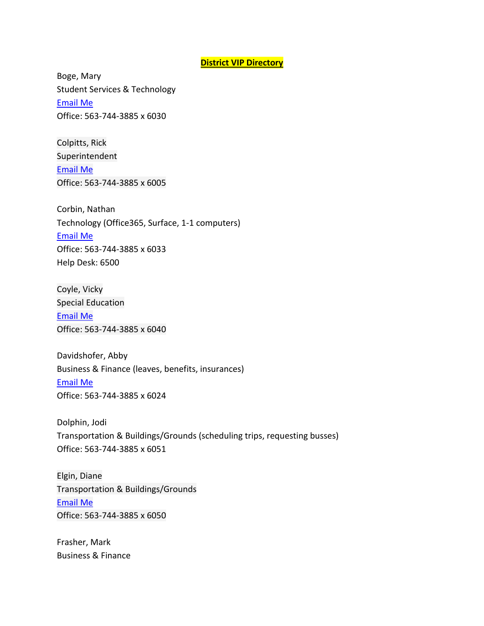## **District VIP Directory**

Boge, Mary Student Services & Technology [Email Me](https://www.wdbqschools.org/PageControls/Component/StaffContactForm.aspx?mId=5UAA3B) Office: 563-744-3885 x 6030

Colpitts, Rick Superintendent [Email Me](https://www.wdbqschools.org/PageControls/Component/StaffContactForm.aspx?mId=5UAA32) Office: 563-744-3885 x 6005

Corbin, Nathan Technology (Office365, Surface, 1-1 computers) [Email Me](https://www.wdbqschools.org/PageControls/Component/StaffContactForm.aspx?mId=5UAA30) Office: 563-744-3885 x 6033 Help Desk: 6500

Coyle, Vicky Special Education [Email Me](https://www.wdbqschools.org/PageControls/Component/StaffContactForm.aspx?mId=5UAAIB) Office: 563-744-3885 x 6040

Davidshofer, Abby Business & Finance (leaves, benefits, insurances) [Email Me](https://www.wdbqschools.org/PageControls/Component/StaffContactForm.aspx?mId=5UAAIY) Office: 563-744-3885 x 6024

Dolphin, Jodi Transportation & Buildings/Grounds (scheduling trips, requesting busses) Office: 563-744-3885 x 6051

Elgin, Diane Transportation & Buildings/Grounds [Email Me](https://www.wdbqschools.org/PageControls/Component/StaffContactForm.aspx?mId=5UAAI2) Office: 563-744-3885 x 6050

Frasher, Mark Business & Finance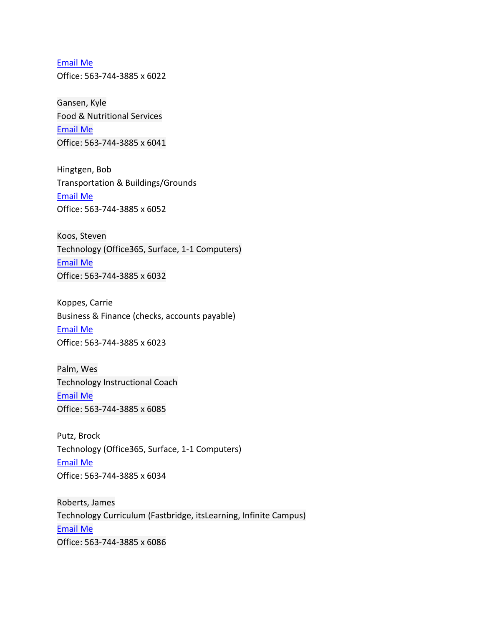[Email Me](https://www.wdbqschools.org/PageControls/Component/StaffContactForm.aspx?mId=5UAAI0) Office: 563-744-3885 x 6022

Gansen, Kyle Food & Nutritional Services [Email Me](https://www.wdbqschools.org/PageControls/Component/StaffContactForm.aspx?mId=6G2U3AB) Office: 563-744-3885 x 6041

Hingtgen, Bob Transportation & Buildings/Grounds [Email Me](https://www.wdbqschools.org/PageControls/Component/StaffContactForm.aspx?mId=5UAAPB) Office: 563-744-3885 x 6052

Koos, Steven Technology (Office365, Surface, 1-1 Computers) [Email Me](https://www.wdbqschools.org/PageControls/Component/StaffContactForm.aspx?mId=5UAAPY) Office: 563-744-3885 x 6032

Koppes, Carrie Business & Finance (checks, accounts payable) [Email Me](https://www.wdbqschools.org/PageControls/Component/StaffContactForm.aspx?mId=5U0GUY) Office: 563-744-3885 x 6023

Palm, Wes Technology Instructional Coach [Email Me](https://www.wdbqschools.org/PageControls/Component/StaffContactForm.aspx?mId=5U03I0) Office: 563-744-3885 x 6085

Putz, Brock Technology (Office365, Surface, 1-1 Computers) [Email Me](https://www.wdbqschools.org/PageControls/Component/StaffContactForm.aspx?mId=5UAAPI) Office: 563-744-3885 x 6034

Roberts, James Technology Curriculum (Fastbridge, itsLearning, Infinite Campus) [Email Me](https://www.wdbqschools.org/PageControls/Component/StaffContactForm.aspx?mId=5U3APB) Office: 563-744-3885 x 6086